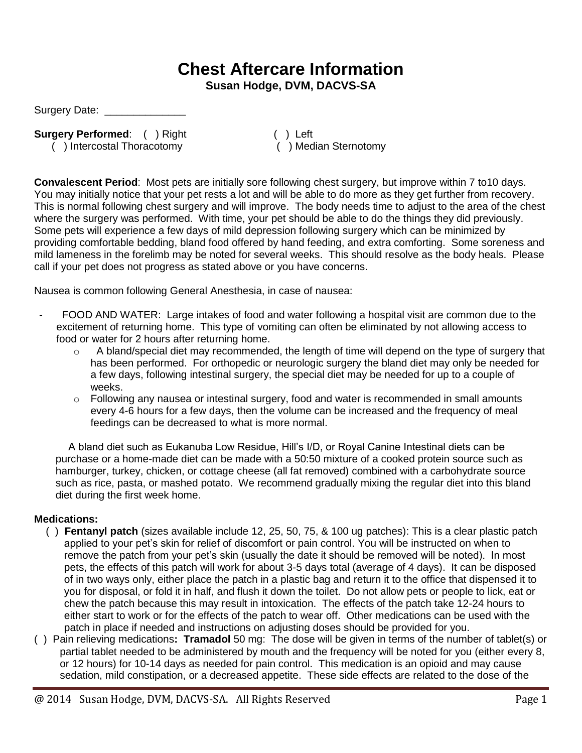## **Chest Aftercare Information**

**Susan Hodge, DVM, DACVS-SA**

Surgery Date: \_\_\_\_\_\_\_\_\_\_\_\_\_\_

**Surgery Performed:** ( ) Right

verty Performed: ( ) Right ( ) Left ( ) Intercostal Thoracotomy ( ) Median Sternotomy

**Convalescent Period**: Most pets are initially sore following chest surgery, but improve within 7 to10 days. You may initially notice that your pet rests a lot and will be able to do more as they get further from recovery. This is normal following chest surgery and will improve. The body needs time to adjust to the area of the chest where the surgery was performed. With time, your pet should be able to do the things they did previously. Some pets will experience a few days of mild depression following surgery which can be minimized by providing comfortable bedding, bland food offered by hand feeding, and extra comforting. Some soreness and mild lameness in the forelimb may be noted for several weeks. This should resolve as the body heals. Please call if your pet does not progress as stated above or you have concerns.

Nausea is common following General Anesthesia, in case of nausea:

- FOOD AND WATER: Large intakes of food and water following a hospital visit are common due to the excitement of returning home. This type of vomiting can often be eliminated by not allowing access to food or water for 2 hours after returning home.
	- o A bland/special diet may recommended, the length of time will depend on the type of surgery that has been performed. For orthopedic or neurologic surgery the bland diet may only be needed for a few days, following intestinal surgery, the special diet may be needed for up to a couple of weeks.
	- $\circ$  Following any nausea or intestinal surgery, food and water is recommended in small amounts every 4-6 hours for a few days, then the volume can be increased and the frequency of meal feedings can be decreased to what is more normal.

A bland diet such as Eukanuba Low Residue, Hill's I/D, or Royal Canine Intestinal diets can be purchase or a home-made diet can be made with a 50:50 mixture of a cooked protein source such as hamburger, turkey, chicken, or cottage cheese (all fat removed) combined with a carbohydrate source such as rice, pasta, or mashed potato. We recommend gradually mixing the regular diet into this bland diet during the first week home.

## **Medications:**

- ( ) **Fentanyl patch** (sizes available include 12, 25, 50, 75, & 100 ug patches): This is a clear plastic patch applied to your pet's skin for relief of discomfort or pain control. You will be instructed on when to remove the patch from your pet's skin (usually the date it should be removed will be noted). In most pets, the effects of this patch will work for about 3-5 days total (average of 4 days). It can be disposed of in two ways only, either place the patch in a plastic bag and return it to the office that dispensed it to you for disposal, or fold it in half, and flush it down the toilet. Do not allow pets or people to lick, eat or chew the patch because this may result in intoxication. The effects of the patch take 12-24 hours to either start to work or for the effects of the patch to wear off. Other medications can be used with the patch in place if needed and instructions on adjusting doses should be provided for you.
- ( ) Pain relieving medications**: Tramadol** 50 mg: The dose will be given in terms of the number of tablet(s) or partial tablet needed to be administered by mouth and the frequency will be noted for you (either every 8, or 12 hours) for 10-14 days as needed for pain control. This medication is an opioid and may cause sedation, mild constipation, or a decreased appetite. These side effects are related to the dose of the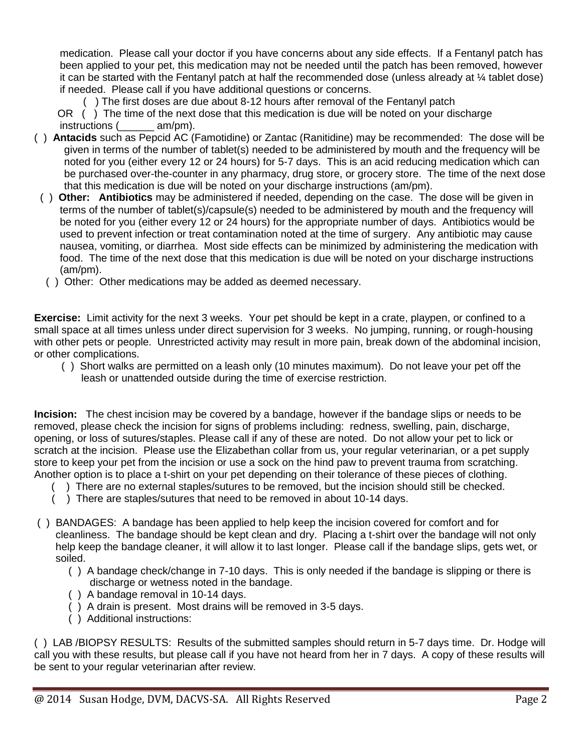medication. Please call your doctor if you have concerns about any side effects. If a Fentanyl patch has been applied to your pet, this medication may not be needed until the patch has been removed, however it can be started with the Fentanyl patch at half the recommended dose (unless already at ¼ tablet dose) if needed. Please call if you have additional questions or concerns.

( ) The first doses are due about 8-12 hours after removal of the Fentanyl patch

 OR ( ) The time of the next dose that this medication is due will be noted on your discharge instructions (  $am/pm$ ).

- ( ) **Antacids** such as Pepcid AC (Famotidine) or Zantac (Ranitidine) may be recommended:The dose will be given in terms of the number of tablet(s) needed to be administered by mouth and the frequency will be noted for you (either every 12 or 24 hours) for 5-7 days. This is an acid reducing medication which can be purchased over-the-counter in any pharmacy, drug store, or grocery store. The time of the next dose that this medication is due will be noted on your discharge instructions (am/pm).
- ( ) **Other: Antibiotics** may be administered if needed, depending on the case. The dose will be given in terms of the number of tablet(s)/capsule(s) needed to be administered by mouth and the frequency will be noted for you (either every 12 or 24 hours) for the appropriate number of days. Antibiotics would be used to prevent infection or treat contamination noted at the time of surgery. Any antibiotic may cause nausea, vomiting, or diarrhea. Most side effects can be minimized by administering the medication with food. The time of the next dose that this medication is due will be noted on your discharge instructions (am/pm).
	- ( ) Other: Other medications may be added as deemed necessary.

**Exercise:** Limit activity for the next 3 weeks. Your pet should be kept in a crate, playpen, or confined to a small space at all times unless under direct supervision for 3 weeks. No jumping, running, or rough-housing with other pets or people. Unrestricted activity may result in more pain, break down of the abdominal incision, or other complications.

 ( ) Short walks are permitted on a leash only (10 minutes maximum). Do not leave your pet off the leash or unattended outside during the time of exercise restriction.

**Incision:** The chest incision may be covered by a bandage, however if the bandage slips or needs to be removed, please check the incision for signs of problems including: redness, swelling, pain, discharge, opening, or loss of sutures/staples. Please call if any of these are noted. Do not allow your pet to lick or scratch at the incision. Please use the Elizabethan collar from us, your regular veterinarian, or a pet supply store to keep your pet from the incision or use a sock on the hind paw to prevent trauma from scratching. Another option is to place a t-shirt on your pet depending on their tolerance of these pieces of clothing.

- ( ) There are no external staples/sutures to be removed, but the incision should still be checked.
	- ) There are staples/sutures that need to be removed in about 10-14 days.
- ( ) BANDAGES: A bandage has been applied to help keep the incision covered for comfort and for cleanliness. The bandage should be kept clean and dry. Placing a t-shirt over the bandage will not only help keep the bandage cleaner, it will allow it to last longer. Please call if the bandage slips, gets wet, or soiled.
	- ( ) A bandage check/change in 7-10 days. This is only needed if the bandage is slipping or there is discharge or wetness noted in the bandage.
	- ( ) A bandage removal in 10-14 days.
	- ( ) A drain is present. Most drains will be removed in 3-5 days.
	- ( ) Additional instructions:

( ) LAB /BIOPSY RESULTS: Results of the submitted samples should return in 5-7 days time. Dr. Hodge will call you with these results, but please call if you have not heard from her in 7 days. A copy of these results will be sent to your regular veterinarian after review.